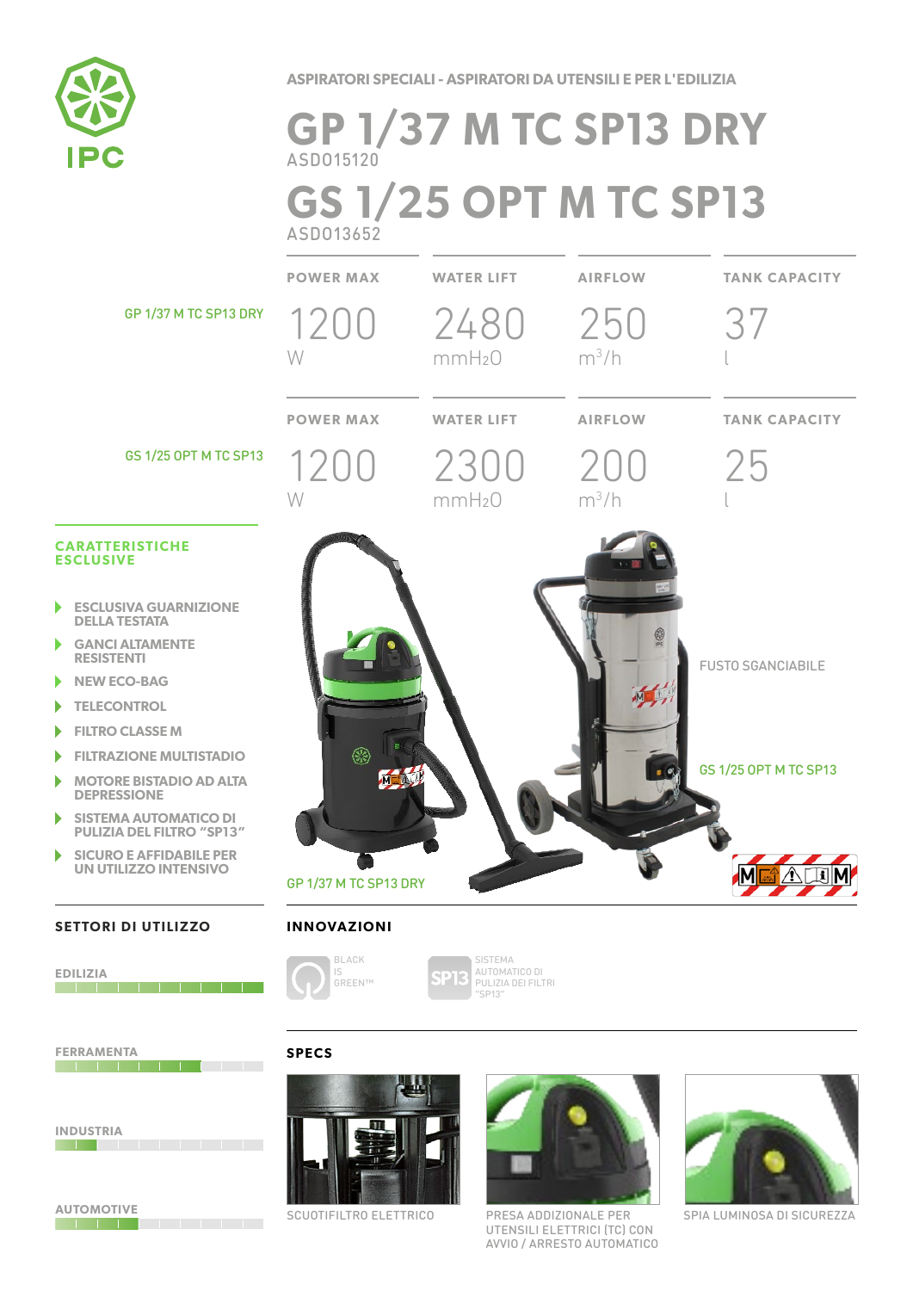

**ASPIRATORI SPECIALI - ASPIRATORI DA UTENSILI E PER L'EDILIZIA**

# **GP 1/37 M TC SP13 DRY** ASDO15120 **GS 1/25 OPT M TC SP13** ASDO13652

**POWER MAX WATER LIFT AIRFLOW TANK CAPACITY**

GP 1/37 M TC SP13 DRY

121

GS 1/25 OPT M TC SP13

#### **CARATTERISTICHE ESCLUSIVE**

- **ESCLUSIVA GUARNIZIONE DELLA TESTATA**
- **GANCI ALTAMENTE RESISTENTI**
- **NEW ECO-BAG**
- **TELECONTROL**
- **FILTRO CLASSE M** b
- **FILTRAZIONE MULTISTADIO**
- **MOTORE BISTADIO AD ALTA**  ١ **DEPRESSIONE**
- **SISTEMA AUTOMATICO DI**  ٠ **PULIZIA DEL FILTRO "SP13"**
- **SICURO E AFFIDABILE PER**  ١ **UN UTILIZZO INTENSIVO**

#### **SETTORI DI UTILIZZO**



**FERRAMENTA**



**AUTOMOTIVE** 



SCUOTIFILTRO ELETTRICO PRESA ADDIZIONALE PER SPIA LUMINOSA DI SICUREZZA PRESA ADDIZIONALE PER UTENSILI ELETTRICI (TC) CON AVVIO / ARRESTO AUTOMATICO







SISTEMA AUTOMATICO DI **DT** PULIZIA DEI FILTRI "SP13"

## **SPECS**